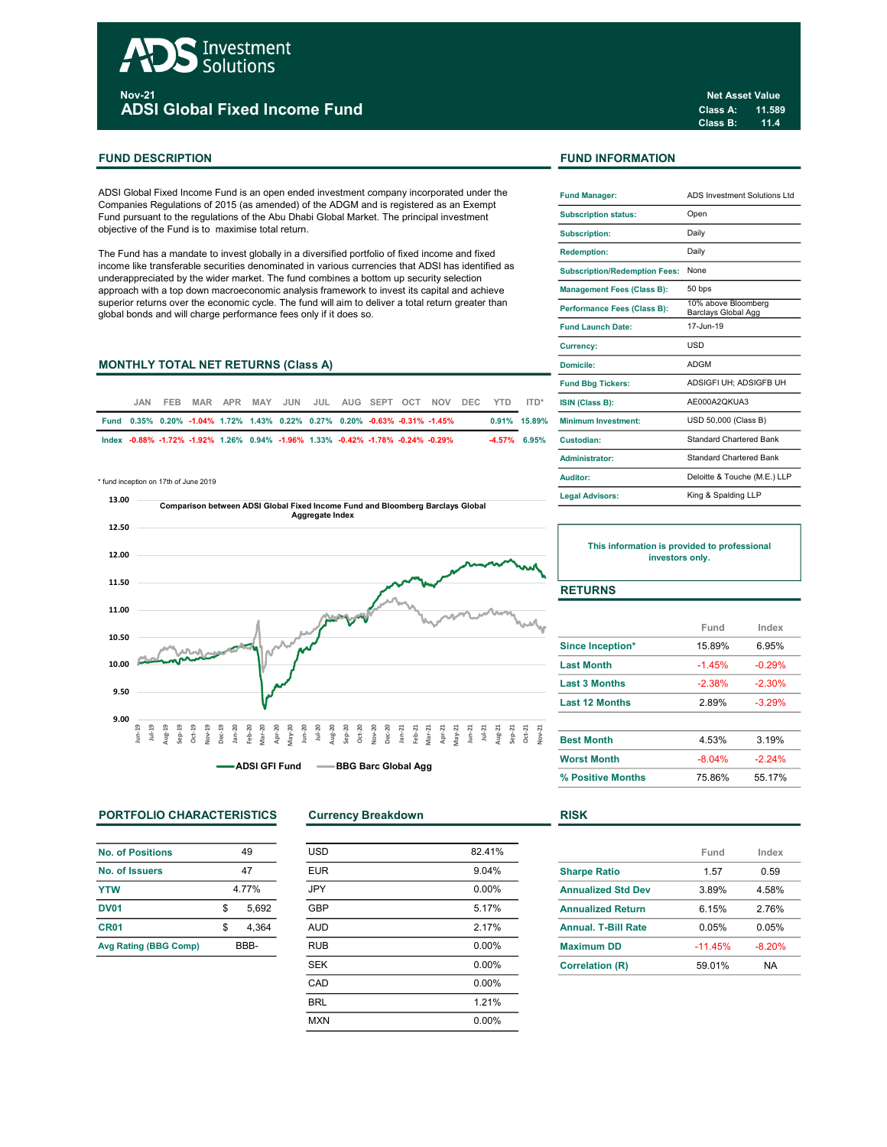# Investment **Solutions** <sub>Nov-21</sub><br>ADSI Global Fixed Income Fund

# FUND DESCRIPTION **FUND INFORMATION**

ADSI Global Fixed Income Fund is an open ended investment company incorporated under the Companies Regulations of 2015 (as amended) of the ADGM and is registered as an Exempt Fund pursuant to the regulations of the Abu Dhabi Global Market. The principal investment objective of the Fund is to maximise total return.

The Fund has a mandate to invest globally in a diversified portfolio of fixed income and fixed income like transferable securities denominated in various currencies that ADSI has identified as underappreciated by the wider market. The fund combines a bottom up security selection approach with a top down macroeconomic analysis framework to invest its capital and achieve superior returns over the economic cycle. The fund will aim to deliver a total return greater than global bonds and will charge performance fees only if it does so.

# MONTHLY TOTAL NET RETURNS (Class A)

| JAN. | FFB. |                                                                                 |  |  |  | MAR APR MAY JUN JUL AUG SEPT OCT NOV DEC YTD |  | ITD*            | <b>ISIN (Class B):</b>     |
|------|------|---------------------------------------------------------------------------------|--|--|--|----------------------------------------------|--|-----------------|----------------------------|
|      |      | Fund 0.35% 0.20% -1.04% 1.72% 1.43% 0.22% 0.27% 0.20% -0.63% -0.31% -1.45%      |  |  |  |                                              |  | 0.91% 15.89%    | <b>Minimum Investment:</b> |
|      |      | lndex -0.88% -1.72% -1.92% 1.26% 0.94% -1.96% 1.33% -0.42% -1.78% -0.24% -0.29% |  |  |  |                                              |  | $-4.57\%$ 6.95% | Custodian:                 |

\* fund inception on 17th of June 2019



PORTFOLIO CHARACTERISTICS Currency Breakdown RISK

| No. of Positions             | 49    |       |  |
|------------------------------|-------|-------|--|
| No. of Issuers               | 47    |       |  |
| <b>YTW</b>                   | 4 77% |       |  |
| <b>DV01</b>                  | \$    | 5.692 |  |
| CR <sub>01</sub>             | S     | 4.364 |  |
| <b>Avg Rating (BBG Comp)</b> | BBB-  |       |  |

| <b>USD</b> | 82.41%   |
|------------|----------|
| <b>EUR</b> | 9.04%    |
| <b>JPY</b> | $0.00\%$ |
| GBP        | 5.17%    |
| <b>AUD</b> | 2.17%    |
| <b>RUB</b> | $0.00\%$ |
| <b>SEK</b> | $0.00\%$ |
| CAD        | 0.00%    |
| <b>BRL</b> | 1.21%    |
| <b>MXN</b> | 0.00%    |
|            |          |

Class A: 11.589 Class B: 11.4 Net Asset Value

| <b>Fund Manager:</b>                 | ADS Investment Solutions Ltd               |
|--------------------------------------|--------------------------------------------|
| <b>Subscription status:</b>          | Open                                       |
| <b>Subscription:</b>                 | Daily                                      |
| <b>Redemption:</b>                   | Daily                                      |
| <b>Subscription/Redemption Fees:</b> | None                                       |
| <b>Management Fees (Class B):</b>    | 50 bps                                     |
| Performance Fees (Class B):          | 10% above Bloomberg<br>Barclays Global Agg |
| <b>Fund Launch Date:</b>             | 17-Jun-19                                  |
| <b>Currency:</b>                     | <b>USD</b>                                 |
| Domicile:                            | <b>ADGM</b>                                |
| <b>Fund Bbg Tickers:</b>             | ADSIGFI UH: ADSIGFB UH                     |
| ISIN (Class B):                      | AE000A2OKUA3                               |
| Minimum Investment:                  | USD 50,000 (Class B)                       |
| Custodian:                           | Standard Chartered Bank                    |
| Administrator:                       | <b>Standard Chartered Bank</b>             |
| Auditor:                             | Deloitte & Touche (M.E.) LLP               |
| <b>Legal Advisors:</b>               | King & Spalding LLP                        |

This information is provided to professional investors only.

# **RETURNS**

|                       | Fund     | Index    |  |
|-----------------------|----------|----------|--|
| Since Inception*      | 15.89%   | 6.95%    |  |
| <b>Last Month</b>     | $-1.45%$ | $-0.29%$ |  |
| <b>Last 3 Months</b>  | $-2.38%$ | $-2.30%$ |  |
| <b>Last 12 Months</b> | 2.89%    | $-3.29%$ |  |
| <b>Best Month</b>     | 4.53%    | 3.19%    |  |
| <b>Worst Month</b>    | $-8.04%$ | $-2.24%$ |  |
| % Positive Months     | 75.86%   | 55 17%   |  |

|                            | Fund     | Index    |
|----------------------------|----------|----------|
| <b>Sharpe Ratio</b>        | 1.57     | 0.59     |
| <b>Annualized Std Dev</b>  | 3.89%    | 4.58%    |
| <b>Annualized Return</b>   | 6 15%    | 2.76%    |
| <b>Annual, T-Bill Rate</b> | 0.05%    | 0.05%    |
| <b>Maximum DD</b>          | $-1145%$ | $-8.20%$ |
| <b>Correlation (R)</b>     | 59.01%   | NA       |